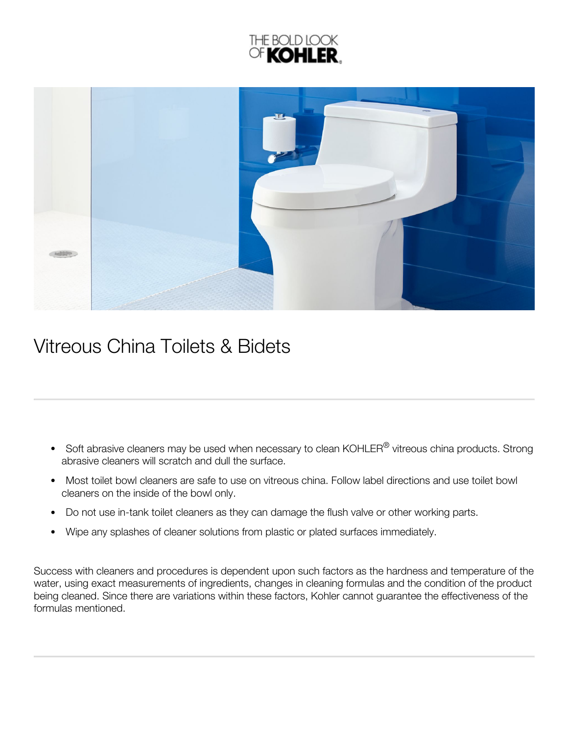



## Vitreous China Toilets & Bidets

- Soft abrasive cleaners may be used when necessary to clean KOHLER $^\circledR$  vitreous china products. Strong abrasive cleaners will scratch and dull the surface.
- Most toilet bowl cleaners are safe to use on vitreous china. Follow label directions and use toilet bowl  $\bullet$ cleaners on the inside of the bowl only.
- Do not use in-tank toilet cleaners as they can damage the flush valve or other working parts.  $\bullet$
- Wipe any splashes of cleaner solutions from plastic or plated surfaces immediately.  $\bullet$

Success with cleaners and procedures is dependent upon such factors as the hardness and temperature of the water, using exact measurements of ingredients, changes in cleaning formulas and the condition of the product being cleaned. Since there are variations within these factors, Kohler cannot guarantee the effectiveness of the formulas mentioned.